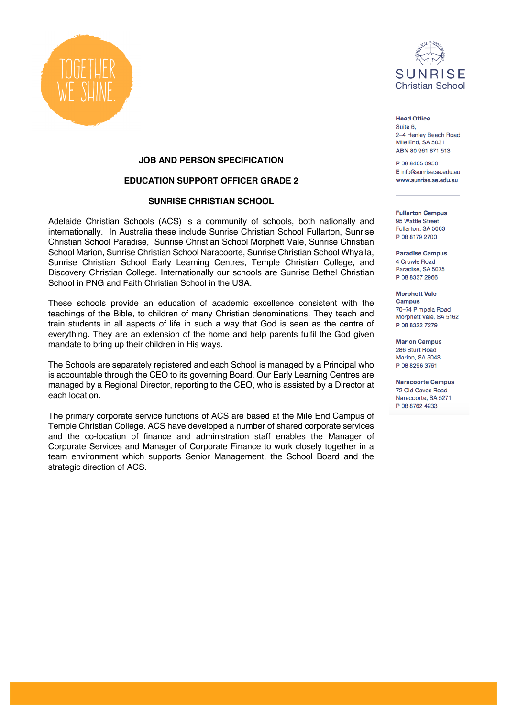



**Head Office** Suite 6, 2-4 Henley Beach Road Mile Fnd, SA 5031 ABN 80 961 871 513

P 08 8405 0950 E info@sunrise.sa.edu.au www.sunrise.sa.edu.au

**Fullarton Campus** 95 Wattle Street Fullarton, SA 5063 P 08 8179 2700

**Paradise Campus** 4 Crowle Road Paradise, SA 5075 P 08 8337 2966

**Morphett Vale Campus** 70-74 Pimpala Road Morphett Vale, SA 5162 P 08 8322 7279

**Marion Campus** 286 Sturt Road Marion, SA 5043 P 08 8296 3761

**Naracoorte Campus** 72 Old Caves Road Naracoorte, SA 5271 P 08 8762 4233

## **JOB AND PERSON SPECIFICATION**

## **EDUCATION SUPPORT OFFICER GRADE 2**

## **SUNRISE CHRISTIAN SCHOOL**

Adelaide Christian Schools (ACS) is a community of schools, both nationally and internationally. In Australia these include Sunrise Christian School Fullarton, Sunrise Christian School Paradise, Sunrise Christian School Morphett Vale, Sunrise Christian School Marion, Sunrise Christian School Naracoorte, Sunrise Christian School Whyalla, Sunrise Christian School Early Learning Centres, Temple Christian College, and Discovery Christian College. Internationally our schools are Sunrise Bethel Christian School in PNG and Faith Christian School in the USA.

These schools provide an education of academic excellence consistent with the teachings of the Bible, to children of many Christian denominations. They teach and train students in all aspects of life in such a way that God is seen as the centre of everything. They are an extension of the home and help parents fulfil the God given mandate to bring up their children in His ways.

The Schools are separately registered and each School is managed by a Principal who is accountable through the CEO to its governing Board. Our Early Learning Centres are managed by a Regional Director, reporting to the CEO, who is assisted by a Director at each location.

The primary corporate service functions of ACS are based at the Mile End Campus of Temple Christian College. ACS have developed a number of shared corporate services and the co-location of finance and administration staff enables the Manager of Corporate Services and Manager of Corporate Finance to work closely together in a team environment which supports Senior Management, the School Board and the strategic direction of ACS.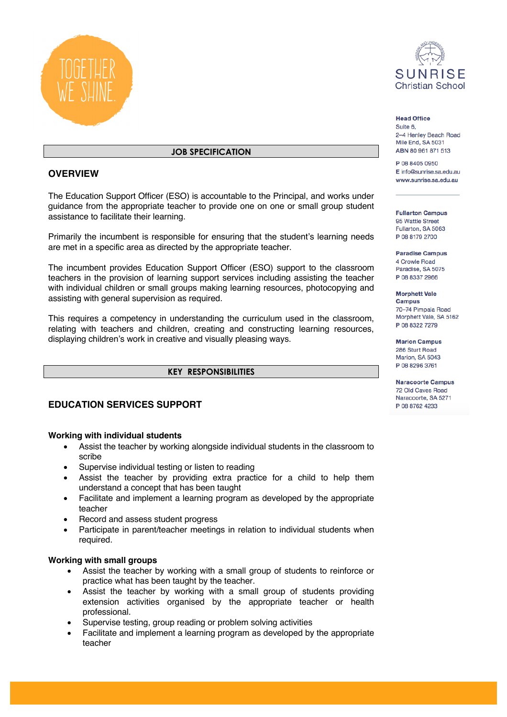



# **JOB SPECIFICATION**

## **OVERVIEW**

The Education Support Officer (ESO) is accountable to the Principal, and works under guidance from the appropriate teacher to provide one on one or small group student assistance to facilitate their learning.

Primarily the incumbent is responsible for ensuring that the student's learning needs are met in a specific area as directed by the appropriate teacher.

The incumbent provides Education Support Officer (ESO) support to the classroom teachers in the provision of learning support services including assisting the teacher with individual children or small groups making learning resources, photocopying and assisting with general supervision as required.

This requires a competency in understanding the curriculum used in the classroom, relating with teachers and children, creating and constructing learning resources, displaying children's work in creative and visually pleasing ways.

## **KEY RESPONSIBILITIES**

# **EDUCATION SERVICES SUPPORT**

## **Working with individual students**

- Assist the teacher by working alongside individual students in the classroom to scribe
- Supervise individual testing or listen to reading
- Assist the teacher by providing extra practice for a child to help them understand a concept that has been taught
- Facilitate and implement a learning program as developed by the appropriate teacher
- Record and assess student progress
- Participate in parent/teacher meetings in relation to individual students when required.

## **Working with small groups**

- Assist the teacher by working with a small group of students to reinforce or practice what has been taught by the teacher.
- Assist the teacher by working with a small group of students providing extension activities organised by the appropriate teacher or health professional.
- Supervise testing, group reading or problem solving activities
- Facilitate and implement a learning program as developed by the appropriate teacher

**Head Office** 

Suite 6. 2-4 Henley Beach Road Mile Fnd, SA 5031 ABN 80 961 871 513

P 08 8405 0950 E info@sunrise.sa.edu.au www.sunrise.sa.edu.au

**Fullarton Campus** 95 Wattle Street Fullarton, SA 5063 P 08 8179 2700

**Paradise Campus** 4 Crowle Road Paradise, SA 5075 P 08 8337 2966

**Morphett Vale Campus** 70-74 Pimpala Road Morphett Vale, SA 5162 P 08 8322 7279

**Marion Campus** 286 Sturt Road Marion, SA 5043 P 08 8296 3761

**Naracoorte Campus** 72 Old Caves Road Naracoorte, SA 5271 P 08 8762 4233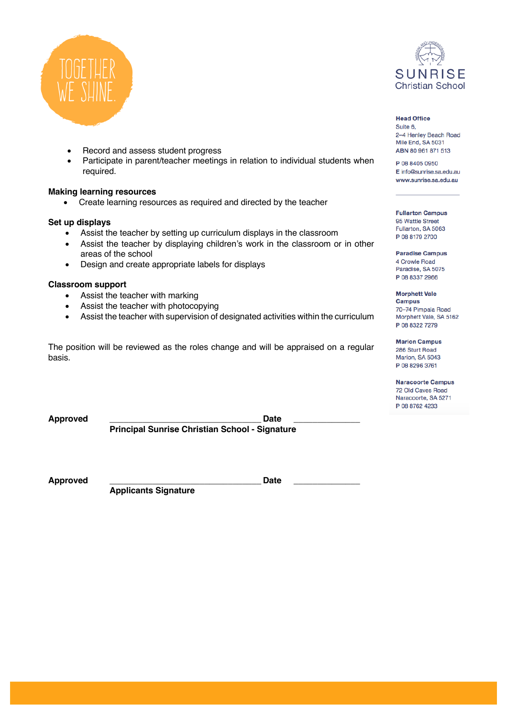



## • Record and assess student progress

Participate in parent/teacher meetings in relation to individual students when required.

## **Making learning resources**

• Create learning resources as required and directed by the teacher

## **Set up displays**

- Assist the teacher by setting up curriculum displays in the classroom
- Assist the teacher by displaying children's work in the classroom or in other areas of the school
- Design and create appropriate labels for displays

#### **Classroom support**

- Assist the teacher with marking
- Assist the teacher with photocopying
- Assist the teacher with supervision of designated activities within the curriculum

The position will be reviewed as the roles change and will be appraised on a regular basis.

**Approved \_\_\_\_\_\_\_\_\_\_\_\_\_\_\_\_\_\_\_\_\_\_\_\_\_\_\_\_\_\_\_\_ Date \_\_\_\_\_\_\_\_\_\_\_\_\_\_ Principal Sunrise Christian School - Signature**

Approved **Date Date** 

**Applicants Signature** 

# **Head Office**

Suite 6, 2-4 Henley Beach Road Mile End, SA 5031 ABN 80 961 871 513

P 08 8405 0950 E info@sunrise.sa.edu.au www.sunrise.sa.edu.au

**Fullarton Campus** 95 Wattle Street Fullarton, SA 5063 P 08 8179 2700

**Paradise Campus** 4 Crowle Road Paradise, SA 5075 P 08 8337 2966

**Morphett Vale Campus** 70-74 Pimpala Road

Morphett Vale, SA 5162 P 08 8322 7279 **Marion Campus** 

286 Sturt Road Marion, SA 5043 P 08 8296 3761

**Naracoorte Campus** 72 Old Caves Road Naracoorte, SA 5271 P 08 8762 4233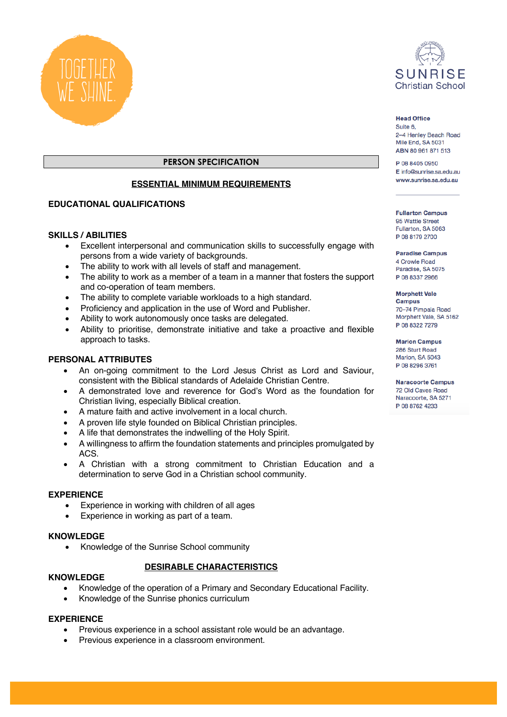



## **Head Office**

Suite 6, 2-4 Henley Beach Road Mile Fnd, SA 5031 ABN 80 961 871 513

P 08 8405 0950 E info@sunrise.sa.edu.au www.sunrise.sa.edu.au

**Fullarton Campus** 95 Wattle Street Fullarton, SA 5063 P 08 8179 2700

**Paradise Campus** 4 Crowle Road Paradise, SA 5075 P 08 8337 2966

**Morphett Vale Campus** 70-74 Pimpala Road

Morphett Vale, SA 5162 P 08 8322 7279

**Marion Campus** 286 Sturt Road Marion, SA 5043 P 08 8296 3761

**Naracoorte Campus** 72 Old Caves Road Naracoorte, SA 5271 P 08 8762 4233

## **PERSON SPECIFICATION**

## **ESSENTIAL MINIMUM REQUIREMENTS**

## **EDUCATIONAL QUALIFICATIONS**

## **SKILLS / ABILITIES**

- Excellent interpersonal and communication skills to successfully engage with persons from a wide variety of backgrounds.
- The ability to work with all levels of staff and management.
- The ability to work as a member of a team in a manner that fosters the support and co-operation of team members.
- The ability to complete variable workloads to a high standard.
- Proficiency and application in the use of Word and Publisher.
- Ability to work autonomously once tasks are delegated.
- Ability to prioritise, demonstrate initiative and take a proactive and flexible approach to tasks.

## **PERSONAL ATTRIBUTES**

- An on-going commitment to the Lord Jesus Christ as Lord and Saviour, consistent with the Biblical standards of Adelaide Christian Centre.
- A demonstrated love and reverence for God's Word as the foundation for Christian living, especially Biblical creation.
- A mature faith and active involvement in a local church.
- A proven life style founded on Biblical Christian principles.
- A life that demonstrates the indwelling of the Holy Spirit.
- A willingness to affirm the foundation statements and principles promulgated by ACS.
- A Christian with a strong commitment to Christian Education and a determination to serve God in a Christian school community.

## **EXPERIENCE**

- Experience in working with children of all ages
- Experience in working as part of a team.

## **KNOWLEDGE**

• Knowledge of the Sunrise School community

# **DESIRABLE CHARACTERISTICS**

## **KNOWLEDGE**

- Knowledge of the operation of a Primary and Secondary Educational Facility.
- Knowledge of the Sunrise phonics curriculum

## **EXPERIENCE**

- Previous experience in a school assistant role would be an advantage.
- Previous experience in a classroom environment.